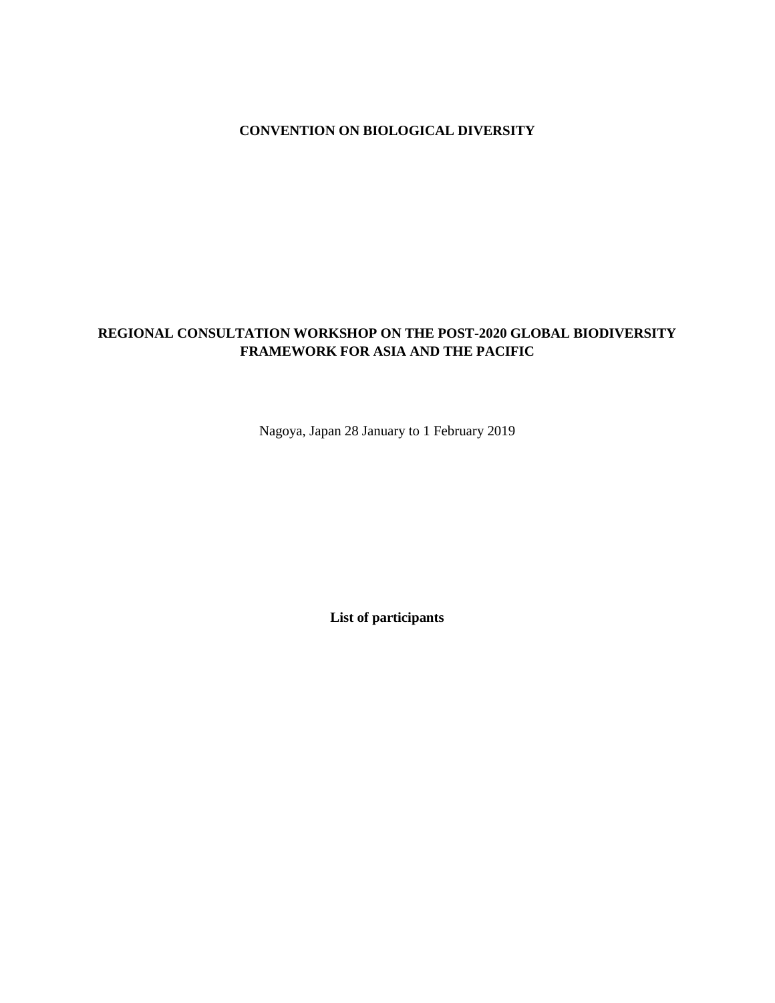# **CONVENTION ON BIOLOGICAL DIVERSITY**

# **REGIONAL CONSULTATION WORKSHOP ON THE POST-2020 GLOBAL BIODIVERSITY FRAMEWORK FOR ASIA AND THE PACIFIC**

Nagoya, Japan 28 January to 1 February 2019

**List of participants**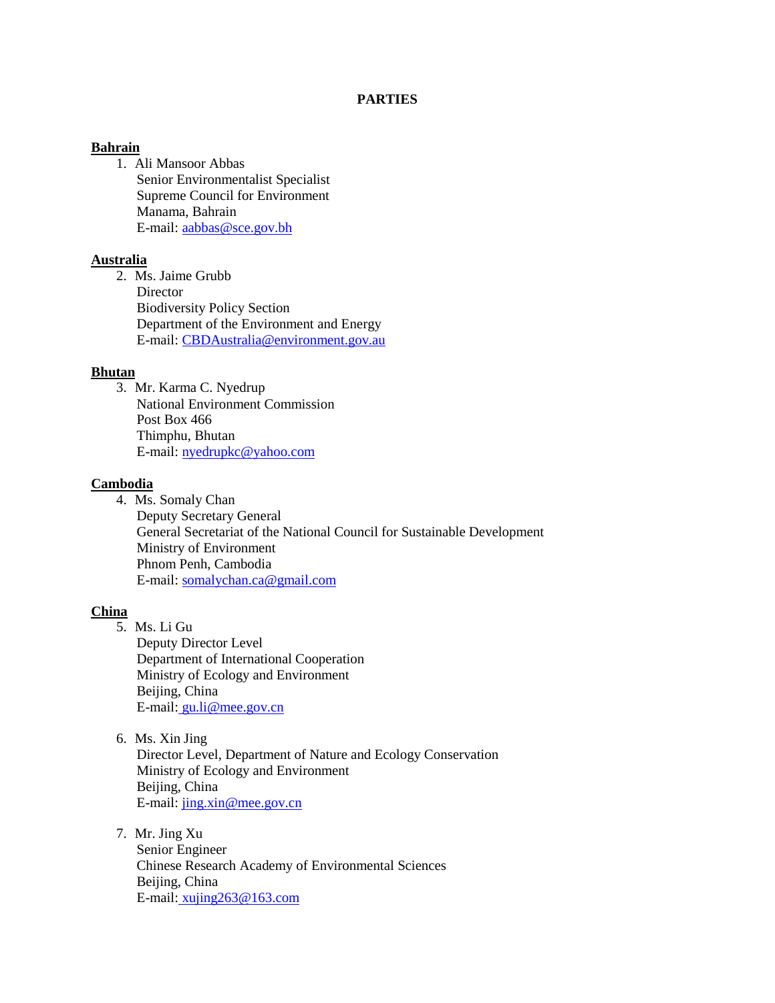# **PARTIES**

### **Bahrain**

1. Ali Mansoor Abbas Senior Environmentalist Specialist Supreme Council for Environment Manama, Bahrain E-mail[: aabbas@sce.gov.bh](mailto:aabbas@sce.gov.bh)

# **Australia**

2. Ms. Jaime Grubb **Director** Biodiversity Policy Section Department of the Environment and Energy E-mail[: CBDAustralia@environment.gov.au](mailto:CBDAustralia@environment.gov.au)

# **Bhutan**

3. Mr. Karma C. Nyedrup National Environment Commission Post Box 466 Thimphu, Bhutan E-mail[: nyedrupkc@yahoo.com](mailto:nyedrupkc@yahoo.com)

# **Cambodia**

- 4. Ms. Somaly Chan
	- Deputy Secretary General General Secretariat of the National Council for Sustainable Development Ministry of Environment Phnom Penh, Cambodia E-mail[: somalychan.ca@gmail.com](mailto:somalychan.ca@gmail.com)

### **China**

- 5. Ms. Li Gu Deputy Director Level Department of International Cooperation Ministry of Ecology and Environment Beijing, China E-mail: [gu.li@mee.gov.cn](mailto:gu.li@mee.gov.cn)
- 6. Ms. Xin Jing

Director Level, Department of Nature and Ecology Conservation Ministry of Ecology and Environment Beijing, China E-mail[: jing.xin@mee.gov.cn](mailto:jing.xin@mee.gov.cn)

7. Mr. Jing Xu

Senior Engineer Chinese Research Academy of Environmental Sciences Beijing, China E-mail: [xujing263@163.com](mailto:xujing263@163.com)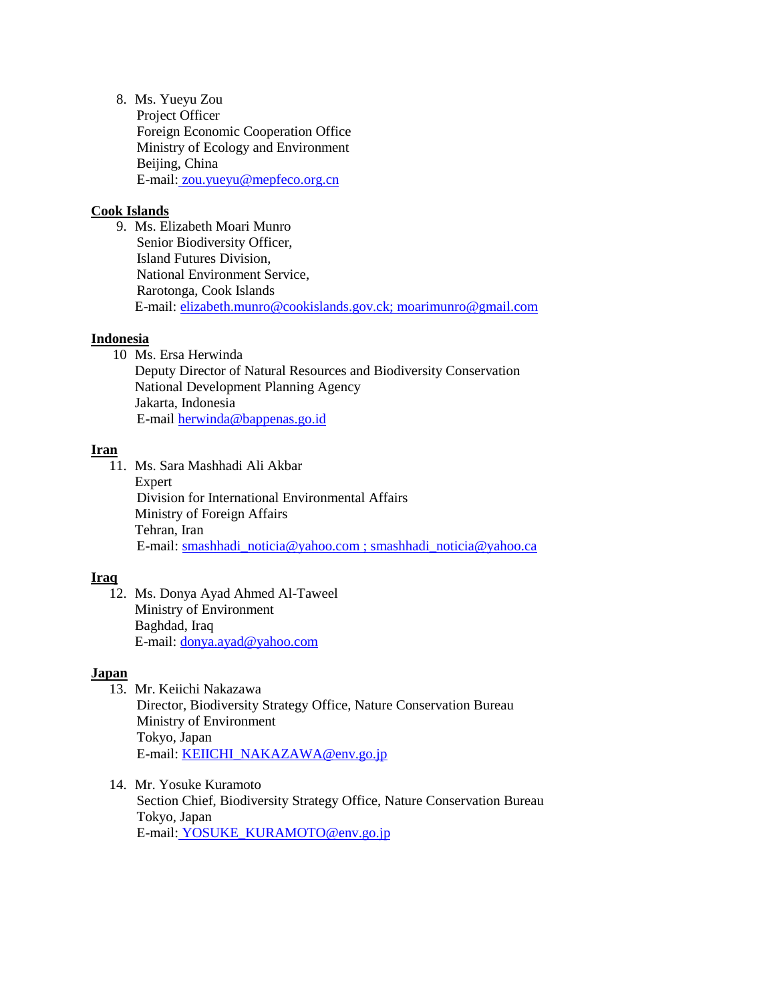8. Ms. Yueyu Zou Project Officer Foreign Economic Cooperation Office Ministry of Ecology and Environment Beijing, China E-mail: [zou.yueyu@mepfeco.org.cn](mailto:zou.yueyu@mepfeco.org.cn)

# **Cook Islands**

9. Ms. Elizabeth Moari Munro Senior Biodiversity Officer, Island Futures Division, National Environment Service, Rarotonga, Cook Islands E-mail: [elizabeth.munro@cookislands.gov.ck;](mailto:elizabeth.munro@cookislands.gov.ck) [moarimunro@gmail.com](mailto:moarimunro@gmail.com)

# **Indonesia**

10 Ms. Ersa Herwinda

Deputy Director of Natural Resources and Biodiversity Conservation National Development Planning Agency Jakarta, Indonesia E-mail [herwinda@bappenas.go.id](mailto:herwinda@bappenas.go.id)

# **Iran**

11. Ms. Sara Mashhadi Ali Akbar Expert Division for International Environmental Affairs Ministry of Foreign Affairs Tehran, Iran E-mail[: smashhadi\\_noticia@yahoo.com](mailto:smashhadi_noticia@yahoo.co) ; smashhadi\_noticia@yahoo.ca

# **Iraq**

12. Ms. Donya Ayad Ahmed Al-Taweel Ministry of Environment Baghdad, Iraq E-mail: [donya.ayad@yahoo.com](mailto:donya.ayad@yahoo.com)

### **Japan**

- 13. Mr. Keiichi Nakazawa Director, Biodiversity Strategy Office, Nature Conservation Bureau Ministry of Environment Tokyo, Japan E-mail[: KEIICHI\\_NAKAZAWA@env.go.jp](mailto:KEIICHI_NAKAZAWA@env.go.jp)
- 14. Mr. Yosuke Kuramoto Section Chief, Biodiversity Strategy Office, Nature Conservation Bureau Tokyo, Japan E-mail: [YOSUKE\\_KURAMOTO@env.go.jp](mailto:YOSUKE_KURAMOTO@env.go.jp)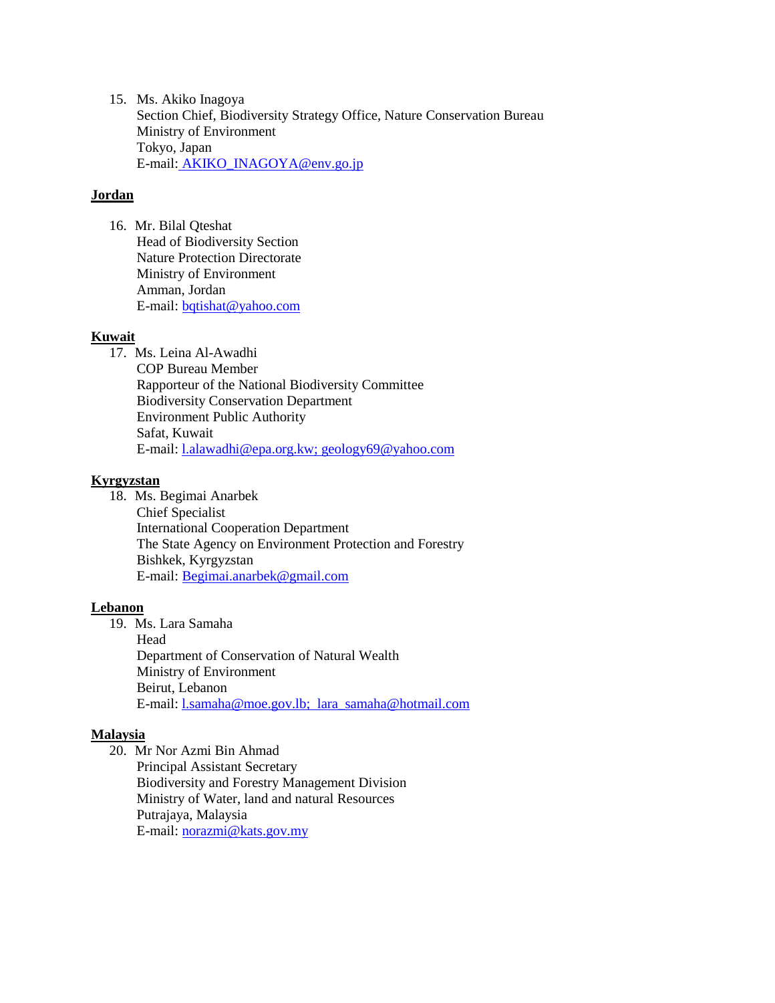15. Ms. Akiko Inagoya Section Chief, Biodiversity Strategy Office, Nature Conservation Bureau Ministry of Environment Tokyo, Japan E-mail: [AKIKO\\_INAGOYA@env.go.jp](mailto:AKIKO_INAGOYA@env.go.jp)

# **Jordan**

16. Mr. Bilal Qteshat Head of Biodiversity Section Nature Protection Directorate Ministry of Environment Amman, Jordan E-mail[: bqtishat@yahoo.com](mailto:bqtishat@yahoo.com) 

# **Kuwait**

17. Ms. Leina Al-Awadhi COP Bureau Member Rapporteur of the National Biodiversity Committee Biodiversity Conservation Department Environment Public Authority Safat, Kuwait E-mail[: l.alawadhi@epa.org.kw;](mailto:l.alawadhi@epa.org.kw) geology69@yahoo.com

# **Kyrgyzstan**

18. Ms. Begimai Anarbek Chief Specialist International Cooperation Department The State Agency on Environment Protection and Forestry Bishkek, Kyrgyzstan E-mail[: Begimai.anarbek@gmail.com](mailto:Begimai.anarbek@gmail.com)

# **Lebanon**

19. Ms. Lara Samaha Head Department of Conservation of Natural Wealth Ministry of Environment Beirut, Lebanon E-mail: l.samaha@moe.gov.lb; lara\_samaha@hotmail.com

# **Malaysia**

20. Mr Nor Azmi Bin Ahmad Principal Assistant Secretary Biodiversity and Forestry Management Division Ministry of Water, land and natural Resources Putrajaya, Malaysia E-mail[: norazmi@kats.gov.my](mailto:norazmi@kats.gov.my)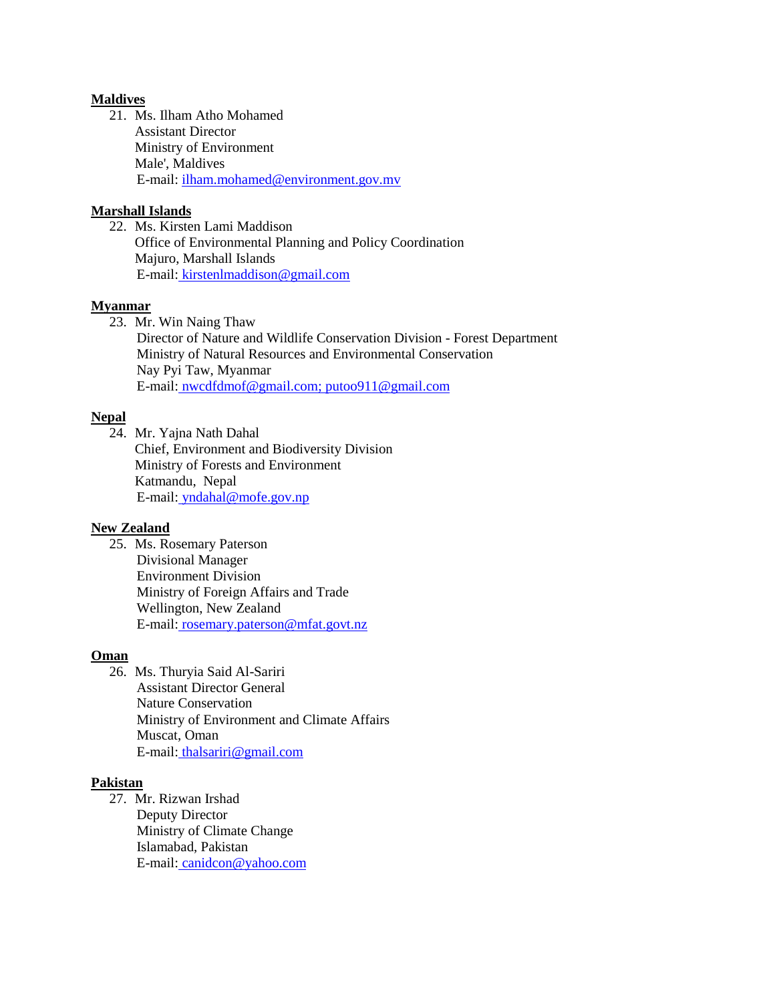### **Maldives**

21. Ms. Ilham Atho Mohamed Assistant Director Ministry of Environment Male', Maldives E-mail[: ilham.mohamed@environment.gov.mv](mailto:ilham.mohamed@environment.gov.mv)

# **Marshall Islands**

22. Ms. Kirsten Lami Maddison Office of Environmental Planning and Policy Coordination Majuro, Marshall Islands E-mail: [kirstenlmaddison@gmail.com](mailto:kirstenlmaddison@gmail.com)

# **Myanmar**

23. Mr. Win Naing Thaw

Director of Nature and Wildlife Conservation Division - Forest Department Ministry of Natural Resources and Environmental Conservation Nay Pyi Taw, Myanmar E-mail: [nwcdfdmof@gmail.com;](mailto:nwcdfdmof@gmail.com) putoo911@gmail.com

# **Nepal**

24. Mr. Yajna Nath Dahal Chief, Environment and Biodiversity Division Ministry of Forests and Environment Katmandu, Nepal E-mail: [yndahal@mofe.gov.np](mailto:yndahal@mofe.gov.np)

### **New Zealand**

25. Ms. Rosemary Paterson Divisional Manager Environment Division Ministry of Foreign Affairs and Trade Wellington, New Zealand E-mail: [rosemary.paterson@mfat.govt.nz](mailto:rosemary.paterson@mfat.govt.nz)

# **Oman**

26. Ms. Thuryia Said Al-Sariri Assistant Director General Nature Conservation Ministry of Environment and Climate Affairs Muscat, Oman E-mail: [thalsariri@gmail.com](mailto:thalsariri@gmail.com)

# **Pakistan**

27. Mr. Rizwan Irshad Deputy Director Ministry of Climate Change Islamabad, Pakistan E-mail: [canidcon@yahoo.com](mailto:canidcon@yahoo.com)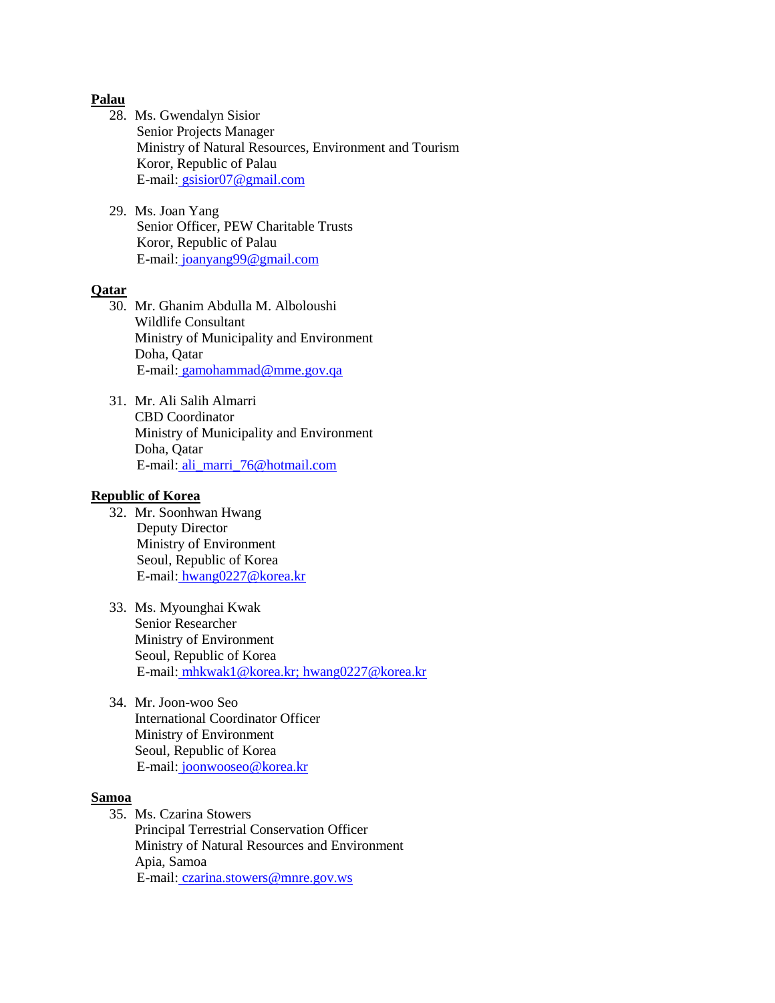### **Palau**

- 28. Ms. Gwendalyn Sisior Senior Projects Manager Ministry of Natural Resources, Environment and Tourism Koror, Republic of Palau E-mail: [gsisior07@gmail.com](mailto:gsisior07@gmail.com)
- 29. Ms. Joan Yang Senior Officer, PEW Charitable Trusts Koror, Republic of Palau E-mail: [joanyang99@gmail.com](mailto:joanyang99@gmail.com)

#### **Qatar**

- 30. Mr. Ghanim Abdulla M. Alboloushi Wildlife Consultant Ministry of Municipality and Environment Doha, Qatar E-mail: [gamohammad@mme.gov.qa](mailto:gamohammad@mme.gov.qa)
- 31. Mr. Ali Salih Almarri CBD Coordinator Ministry of Municipality and Environment Doha, Qatar E-mail: [ali\\_marri\\_76@hotmail.com](mailto:ali_marri_76@hotmail.com)

# **Republic of Korea**

- 32. Mr. Soonhwan Hwang Deputy Director Ministry of Environment Seoul, Republic of Korea E-mail: [hwang0227@korea.kr](mailto:hwang0227@korea.kr)
- 33. Ms. Myounghai Kwak Senior Researcher Ministry of Environment Seoul, Republic of Korea E-mail: [mhkwak1@korea.kr; hwang0227@korea.kr](mailto:mhkwak1@korea.kr;%20hwang0227@korea.kr)
- 34. Mr. Joon-woo Seo International Coordinator Officer Ministry of Environment Seoul, Republic of Korea E-mail: [joonwooseo@korea.kr](mailto:joonwooseo@korea.kr)

#### **Samoa**

35. Ms. Czarina Stowers Principal Terrestrial Conservation Officer Ministry of Natural Resources and Environment Apia, Samoa E-mail: [czarina.stowers@mnre.gov.ws](mailto:czarina.stowers@mnre.gov.ws)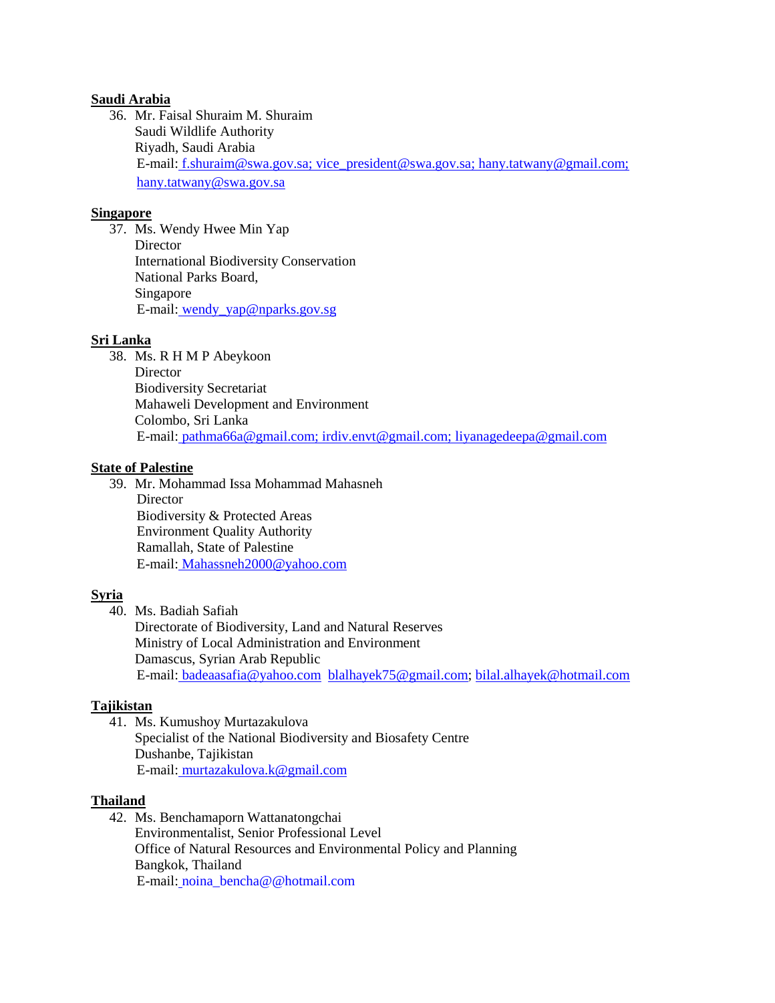# **Saudi Arabia**

36. Mr. Faisal Shuraim M. Shuraim Saudi Wildlife Authority Riyadh, Saudi Arabia E-mail: [f.shuraim@swa.gov.sa; vice\\_president@swa.gov.sa; hany.tatwany@gmail.com;](mailto:f.shuraim@swa.gov.sa;%20vice_president@swa.gov.sa;%20hany.tatwany@gmail.com;%20hany.tatwany@swa.gov.sa)  [hany.tatwany@swa.gov.sa](mailto:f.shuraim@swa.gov.sa;%20vice_president@swa.gov.sa;%20hany.tatwany@gmail.com;%20hany.tatwany@swa.gov.sa)

# **Singapore**

37. Ms. Wendy Hwee Min Yap **Director** International Biodiversity Conservation National Parks Board, Singapore E-mail: [wendy\\_yap@nparks.gov.sg](mailto:wendy_yap@nparks.gov.sg)

# **Sri Lanka**

38. Ms. R H M P Abeykoon **Director** Biodiversity Secretariat Mahaweli Development and Environment Colombo, Sri Lanka E-mail: pathma66a@gmail.com; irdiv.envt@gmail.com; [liyanagedeepa@gmail.com](mailto:liyanagedeepa@gmail.com)

# **State of Palestine**

39. Mr. Mohammad Issa Mohammad Mahasneh **Director** Biodiversity & Protected Areas Environment Quality Authority Ramallah, State of Palestine E-mail: [Mahassneh2000@yahoo.com](mailto:Mahassneh2000@yahoo.com)

# **Syria**

40. Ms. Badiah Safiah

Directorate of Biodiversity, Land and Natural Reserves Ministry of Local Administration and Environment Damascus, Syrian Arab Republic E-mail: [badeaasafia@yahoo.com](mailto:badeaasafia@yahoo.com) [blalhayek75@gmail.com;](mailto:blalhayek75@gmail.com) [bilal.alhayek@hotmail.com](mailto:bilal.alhayek@hotmail.com)

### **Tajikistan**

41. Ms. Kumushoy Murtazakulova Specialist of the National Biodiversity and Biosafety Centre Dushanbe, Tajikistan E-mail: [murtazakulova.k@gmail.com](mailto:murtazakulova.k@gmail.com)

### **Thailand**

42. Ms. Benchamaporn Wattanatongchai Environmentalist, Senior Professional Level Office of Natural Resources and Environmental Policy and Planning Bangkok, Thailand E-mail: noina\_bencha@@hotmail.com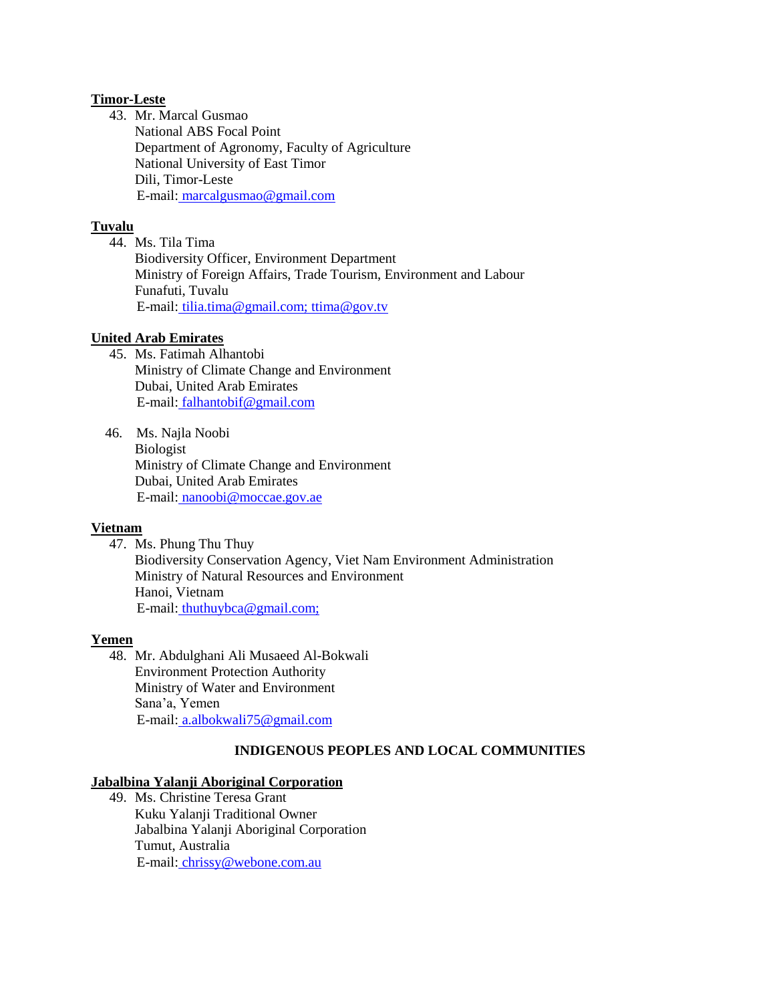# **Timor-Leste**

43. Mr. Marcal Gusmao National ABS Focal Point Department of Agronomy, Faculty of Agriculture National University of East Timor Dili, Timor-Leste E-mail: [marcalgusmao@gmail.com](mailto:marcalgusmao@gmail.com)

# **Tuvalu**

44. Ms. Tila Tima Biodiversity Officer, Environment Department Ministry of Foreign Affairs, Trade Tourism, Environment and Labour Funafuti, Tuvalu E-mail: [tilia.tima@gmail.com; ttima@gov.tv](mailto:tilia.tima@gmail.com;%20ttima@gov.tv)

# **United Arab Emirates**

- 45. Ms. Fatimah Alhantobi Ministry of Climate Change and Environment Dubai, United Arab Emirates E-mail: falhantobif@gmail.com
- 46. Ms. Najla Noobi Biologist Ministry of Climate Change and Environment Dubai, United Arab Emirates E-mail: nanoobi@moccae.gov.ae

# **Vietnam**

47. Ms. Phung Thu Thuy Biodiversity Conservation Agency, Viet Nam Environment Administration Ministry of Natural Resources and Environment Hanoi, Vietnam E-mail: [thuthuybca@gmail.com;](mailto:thuthuybca@gmail.com;)

# **Yemen**

48. Mr. Abdulghani Ali Musaeed Al-Bokwali Environment Protection Authority Ministry of Water and Environment Sana'a, Yemen E-mail: [a.albokwali75@gmail.com](mailto:a.albokwali75@gmail.com) 

# **INDIGENOUS PEOPLES AND LOCAL COMMUNITIES**

# **Jabalbina Yalanji Aboriginal Corporation**

49. Ms. Christine Teresa Grant Kuku Yalanji Traditional Owner Jabalbina Yalanji Aboriginal Corporation Tumut, Australia E-mail: [chrissy@webone.com.au](mailto:chrissy@webone.com.au)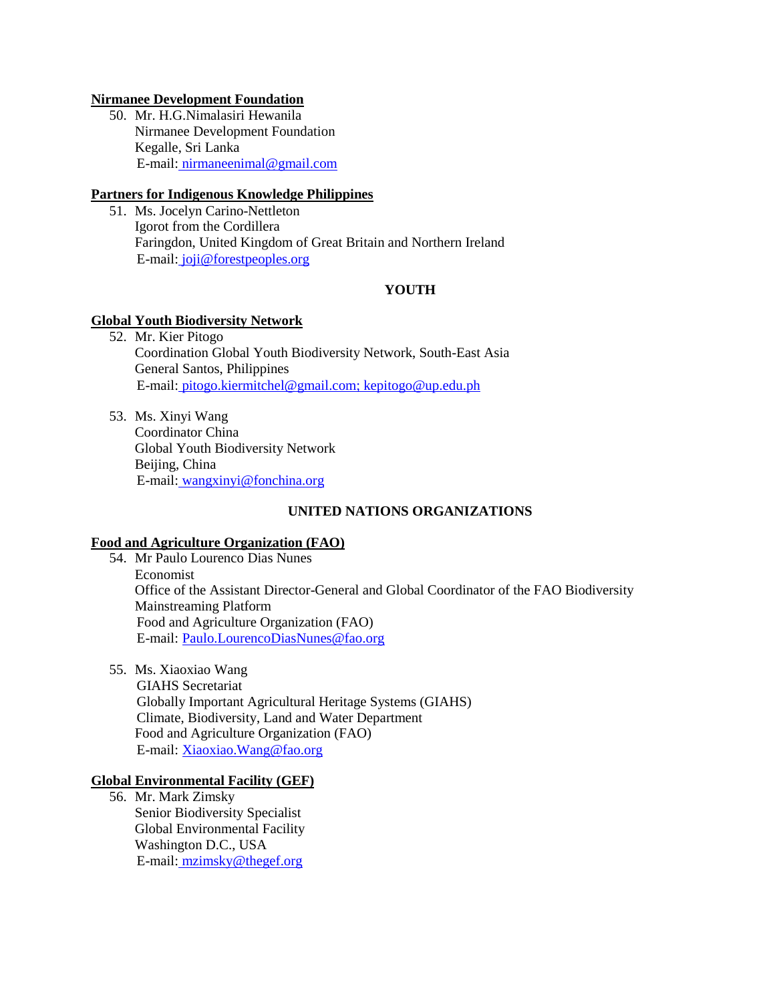## **Nirmanee Development Foundation**

50. Mr. H.G.Nimalasiri Hewanila Nirmanee Development Foundation Kegalle, Sri Lanka E-mail: [nirmaneenimal@gmail.com](mailto:nirmaneenimal@gmail.com) 

# **Partners for Indigenous Knowledge Philippines**

51. Ms. Jocelyn Carino-Nettleton Igorot from the Cordillera Faringdon, United Kingdom of Great Britain and Northern Ireland E-mail: [joji@forestpeoples.org](mailto:joji@forestpeoples.org)

# **YOUTH**

# **Global Youth Biodiversity Network**

52. Mr. Kier Pitogo Coordination Global Youth Biodiversity Network, South-East Asia General Santos, Philippines E-mail: [pitogo.kiermitchel@gmail.com;](mailto:pitogo.kiermitchel@gmail.com) [kepitogo@up.edu.ph](mailto:kepitogo@up.edu.ph)

53. Ms. Xinyi Wang Coordinator China Global Youth Biodiversity Network Beijing, China E-mail: [wangxinyi@fonchina.org](mailto:wangxinyi@fonchina.org) 

# **UNITED NATIONS ORGANIZATIONS**

### **Food and Agriculture Organization (FAO)**

- 54. Mr Paulo Lourenco Dias Nunes Economist Office of the Assistant Director-General and Global Coordinator of the FAO Biodiversity Mainstreaming Platform Food and Agriculture Organization (FAO) E-mail: [Paulo.LourencoDiasNunes@fao.org](mailto:Paulo.LourencoDiasNunes@fao.org)
- 55. Ms. Xiaoxiao Wang

GIAHS Secretariat Globally Important Agricultural Heritage Systems (GIAHS) Climate, Biodiversity, Land and Water Department Food and Agriculture Organization (FAO) E-mail: [Xiaoxiao.Wang@fao.org](mailto:Xiaoxiao.Wang@fao.org)

# **Global Environmental Facility (GEF)**

56. Mr. Mark Zimsky Senior Biodiversity Specialist Global Environmental Facility Washington D.C., USA E-mail: [mzimsky@thegef.org](mailto:mzimsky@thegef.org)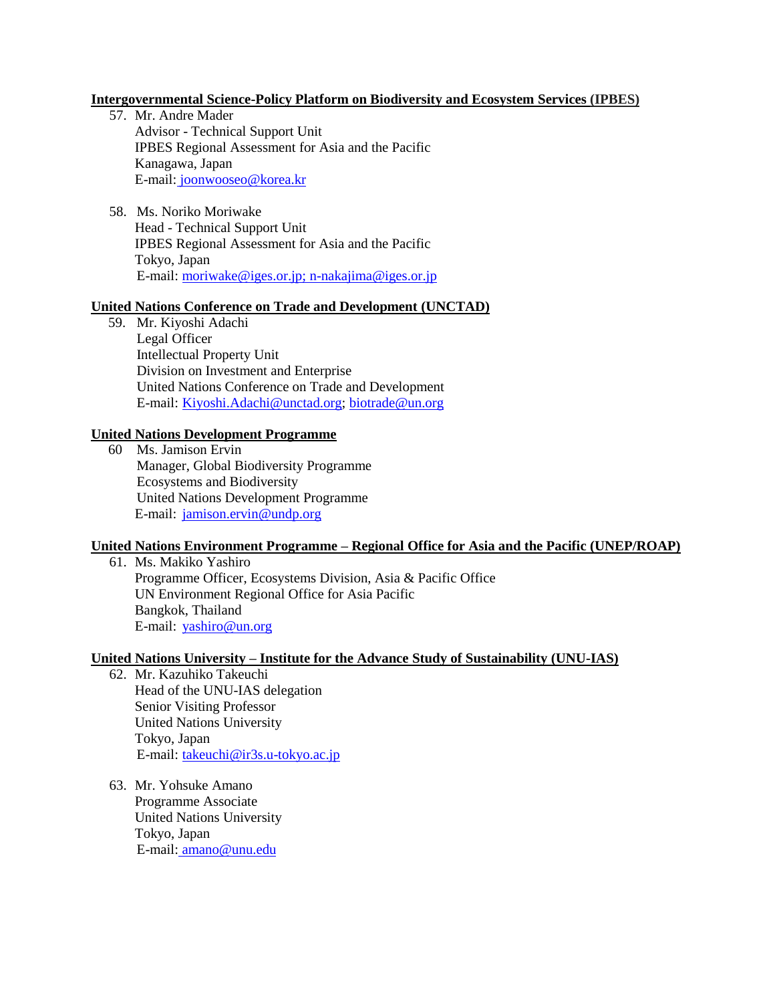# **Intergovernmental Science-Policy Platform on Biodiversity and Ecosystem Services (IPBES)**

- 57. Mr. Andre Mader Advisor - Technical Support Unit IPBES Regional Assessment for Asia and the Pacific Kanagawa, Japan E-mail: [joonwooseo@korea.kr](mailto:joonwooseo@korea.kr)
- 58. Ms. Noriko Moriwake Head - Technical Support Unit IPBES Regional Assessment for Asia and the Pacific Tokyo, Japan E-mail[: moriwake@iges.or.jp; n-nakajima@iges.or.jp](mailto:moriwake@iges.or.jp;%20n-nakajima@iges.or.jp)

### **United Nations Conference on Trade and Development (UNCTAD)**

59. Mr. Kiyoshi Adachi Legal Officer Intellectual Property Unit Division on Investment and Enterprise United Nations Conference on Trade and Development E-mail: [Kiyoshi.Adachi@unctad.org;](mailto:Kiyoshi.Adachi@unctad.org) [biotrade@un.org](mailto:biotrade@un.org)

### **United Nations Development Programme**

60 Ms. Jamison Ervin Manager, Global Biodiversity Programme Ecosystems and Biodiversity United Nations Development Programme E-mail: [jamison.ervin@undp.org](mailto:jamison.ervin@undp.org)

# **United Nations Environment Programme – Regional Office for Asia and the Pacific (UNEP/ROAP)**

61. Ms. Makiko Yashiro Programme Officer, Ecosystems Division, Asia & Pacific Office UN Environment Regional Office for Asia Pacific Bangkok, Thailand E-mail: [yashiro@un.org](mailto:yashiro@un.org)

### **United Nations University – Institute for the Advance Study of Sustainability (UNU-IAS)**

- 62. Mr. Kazuhiko Takeuchi Head of the UNU-IAS delegation Senior Visiting Professor United Nations University Tokyo, Japan E-mail: [takeuchi@ir3s.u-tokyo.ac.jp](mailto:takeuchi@ir3s.u-tokyo.ac.jp)
- 63. Mr. Yohsuke Amano Programme Associate United Nations University Tokyo, Japan E-mail: [amano@unu.edu](mailto:amano@unu.edu)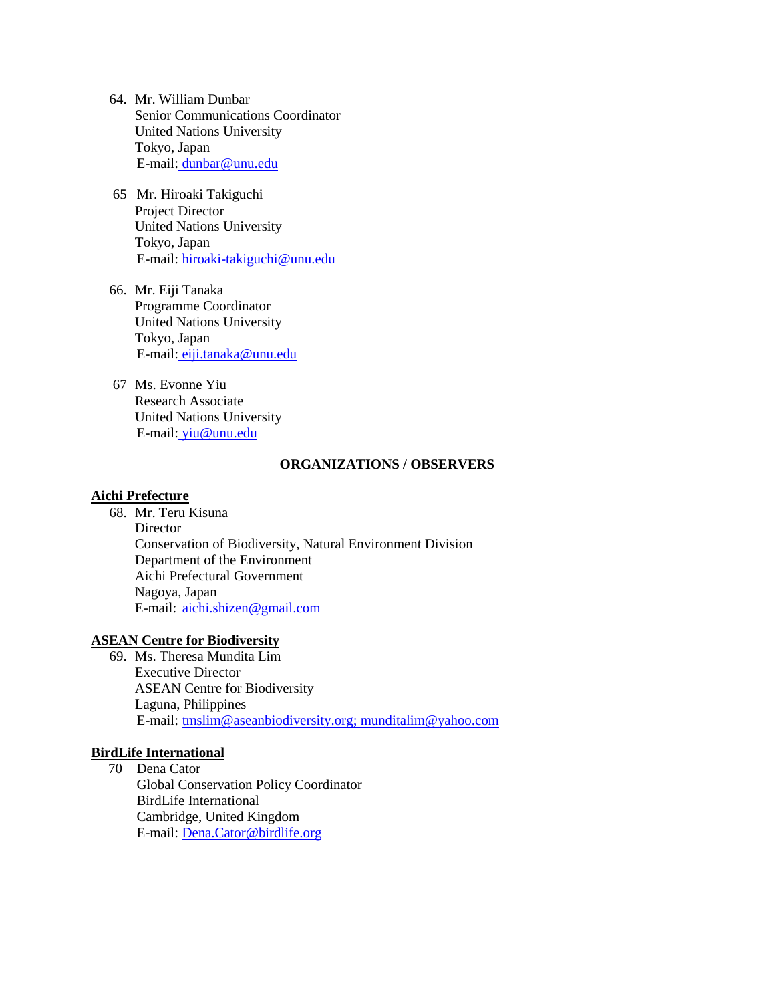- 64. Mr. William Dunbar Senior Communications Coordinator United Nations University Tokyo, Japan E-mail: [dunbar@unu.edu](mailto:dunbar@unu.edu)
- 65 Mr. Hiroaki Takiguchi Project Director United Nations University Tokyo, Japan E-mail: [hiroaki-takiguchi@unu.edu](mailto:hiroaki-takiguchi@unu.edu)
- 66. Mr. Eiji Tanaka Programme Coordinator United Nations University Tokyo, Japan E-mail: [eiji.tanaka@unu.edu](mailto:eiji.tanaka@unu.edu)
- 67 Ms. Evonne Yiu Research Associate United Nations University E-mail: [yiu@unu.edu](mailto:yiu@unu.edu)

### **ORGANIZATIONS / OBSERVERS**

### **Aichi Prefecture**

68. Mr. Teru Kisuna Director Conservation of Biodiversity, Natural Environment Division Department of the Environment Aichi Prefectural Government Nagoya, Japan E-mail: [aichi.shizen@gmail.com](mailto:aichi.shizen@gmail.com) 

# **ASEAN Centre for Biodiversity**

69. Ms. Theresa Mundita Lim Executive Director ASEAN Centre for Biodiversity Laguna, Philippines E-mail: [tmslim@aseanbiodiversity.org;](mailto:tmslim@aseanbiodiversity.org) munditalim@yahoo.com

# **BirdLife International**

70 Dena Cator Global Conservation Policy Coordinator BirdLife International Cambridge, United Kingdom E-mail[: Dena.Cator@birdlife.org](mailto:Dena.Cator@birdlife.org)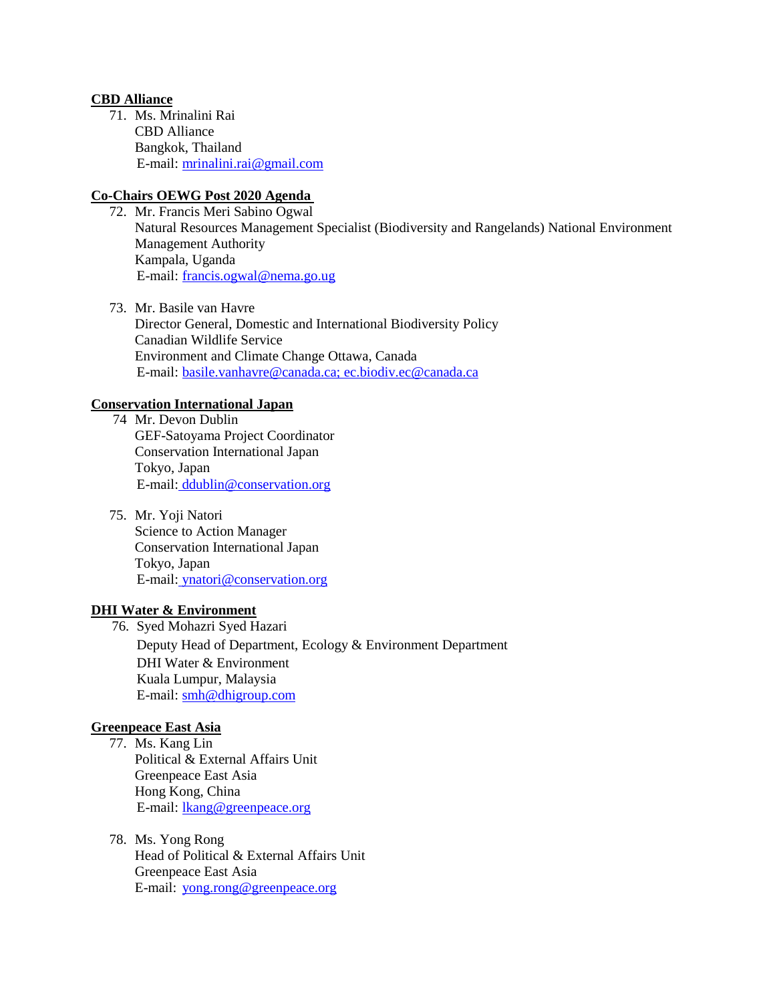## **CBD Alliance**

71. Ms. Mrinalini Rai CBD Alliance Bangkok, Thailand E-mail: [mrinalini.rai@gmail.com](mailto:mrinalini.rai@gmail.com)

# **Co-Chairs OEWG Post 2020 Agenda**

- 72. Mr. Francis Meri Sabino Ogwal Natural Resources Management Specialist (Biodiversity and Rangelands) National Environment Management Authority Kampala, Uganda E-mail: [francis.ogwal@nema.go.ug](mailto:francis.ogwal@nema.go.ug)
- 73. Mr. Basile van Havre Director General, Domestic and International Biodiversity Policy Canadian Wildlife Service Environment and Climate Change Ottawa, Canada E-mail: basile.vanhavre@canada.ca[; ec.biodiv.ec@canada.ca](mailto:ec.biodiv.ec@canada.ca)

# **Conservation International Japan**

- 74 Mr. Devon Dublin GEF-Satoyama Project Coordinator Conservation International Japan Tokyo, Japan E-mail: [ddublin@conservation.org](mailto:ddublin@conservation.org)
- 75. Mr. Yoji Natori Science to Action Manager Conservation International Japan Tokyo, Japan E-mail: [ynatori@conservation.org](mailto:ynatori@conservation.org)

### **DHI Water & Environment**

76. Syed Mohazri Syed Hazari Deputy Head of Department, Ecology & Environment Department DHI Water & Environment Kuala Lumpur, Malaysia E-mail[: smh@dhigroup.com](mailto:smh@dhigroup.com)

# **Greenpeace East Asia**

- 77. Ms. Kang Lin Political & External Affairs Unit Greenpeace East Asia Hong Kong, China E-mail: [lkang@greenpeace.org](mailto:lkang@greenpeace.org)
- 78. Ms. Yong Rong Head of Political & External Affairs Unit Greenpeace East Asia E-mail: [yong.rong@greenpeace.org](mailto:yong.rong@greenpeace.org)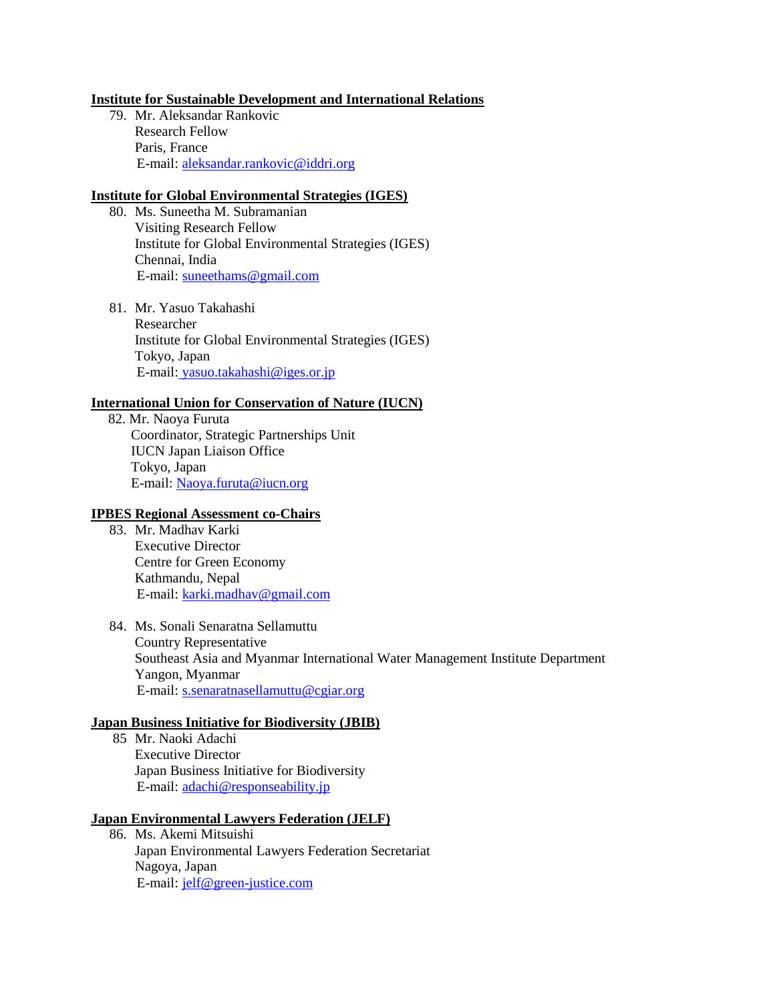# **Institute for Sustainable Development and International Relations**

79. Mr. Aleksandar Rankovic Research Fellow Paris, France E-mail[: aleksandar.rankovic@iddri.org](mailto:aleksandar.rankovic@iddri.org)

# **Institute for Global Environmental Strategies (IGES)**

- 80. Ms. Suneetha M. Subramanian Visiting Research Fellow Institute for Global Environmental Strategies (IGES) Chennai, India E-mail: [suneethams@gmail.com](mailto:suneethams@gmail.com)
- 81. Mr. Yasuo Takahashi Researcher Institute for Global Environmental Strategies (IGES) Tokyo, Japan E-mail: [yasuo.takahashi@iges.or.jp](mailto:yasuo.takahashi@iges.or.jp)

# **International Union for Conservation of Nature (IUCN)**

82. Mr. Naoya Furuta Coordinator, Strategic Partnerships Unit IUCN Japan Liaison Office Tokyo, Japan E-mail: [Naoya.furuta@iucn.org](mailto:Naoya.furuta@iucn.org) 

### **IPBES Regional Assessment co-Chairs**

- 83. Mr. Madhav Karki Executive Director Centre for Green Economy Kathmandu, Nepal E-mail: [karki.madhav@gmail.com](mailto:karki.madhav@gmail.com)
- 84. Ms. Sonali Senaratna Sellamuttu Country Representative Southeast Asia and Myanmar International Water Management Institute Department Yangon, Myanmar E-mail: [s.senaratnasellamuttu@cgiar.org](mailto:s.senaratnasellamuttu@cgiar.org)

### **Japan Business Initiative for Biodiversity (JBIB)**

85 Mr. Naoki Adachi Executive Director Japan Business Initiative for Biodiversity E-mail: [adachi@responseability.jp](mailto:adachi@responseability.jp) 

## **Japan Environmental Lawyers Federation (JELF)**

86. Ms. Akemi Mitsuishi Japan Environmental Lawyers Federation Secretariat Nagoya, Japan E-mail: [jelf@green-justice.com](mailto:jelf@green-justice.com)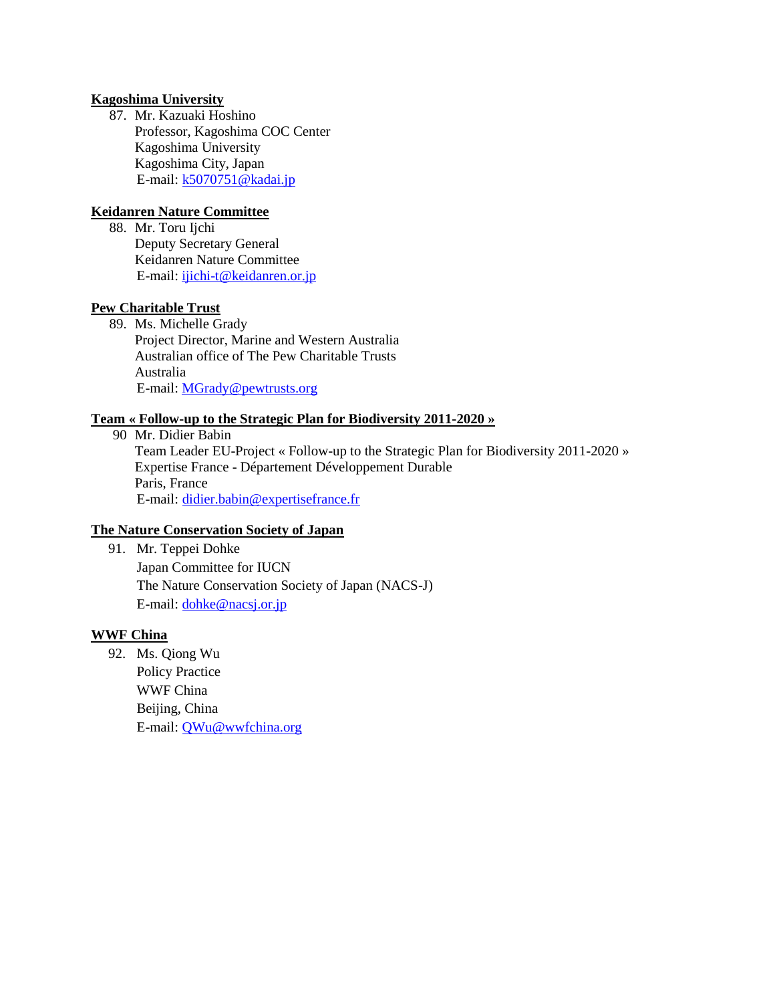# **Kagoshima University**

87. Mr. Kazuaki Hoshino Professor, Kagoshima COC Center Kagoshima University Kagoshima City, Japan E-mail: [k5070751@kadai.jp](mailto:k5070751@kadai.jp)

# **Keidanren Nature Committee**

88. Mr. Toru Ijchi Deputy Secretary General Keidanren Nature Committee E-mail[: ijichi-t@keidanren.or.jp](mailto:ijichi-t@keidanren.or.jp)

# **Pew Charitable Trust**

89. Ms. Michelle Grady Project Director, Marine and Western Australia Australian office of The Pew Charitable Trusts Australia E-mail[: MGrady@pewtrusts.org](mailto:MGrady@pewtrusts.org)

# **Team « Follow-up to the Strategic Plan for Biodiversity 2011-2020 »**

90 Mr. Didier Babin Team Leader EU-Project « Follow-up to the Strategic Plan for Biodiversity 2011-2020 » Expertise France - Département Développement Durable Paris, France E-mail: [didier.babin@expertisefrance.fr](mailto:didier.babin@expertisefrance.fr)

# **The Nature Conservation Society of Japan**

91. Mr. Teppei Dohke Japan Committee for IUCN The Nature Conservation Society of Japan (NACS-J) E-mail[: dohke@nacsj.or.jp](mailto:dohke@nacsj.or.jp)

# **WWF China**

92. Ms. Qiong Wu Policy Practice WWF China Beijing, China E-mail[: QWu@wwfchina.org](mailto:QWu@wwfchina.org)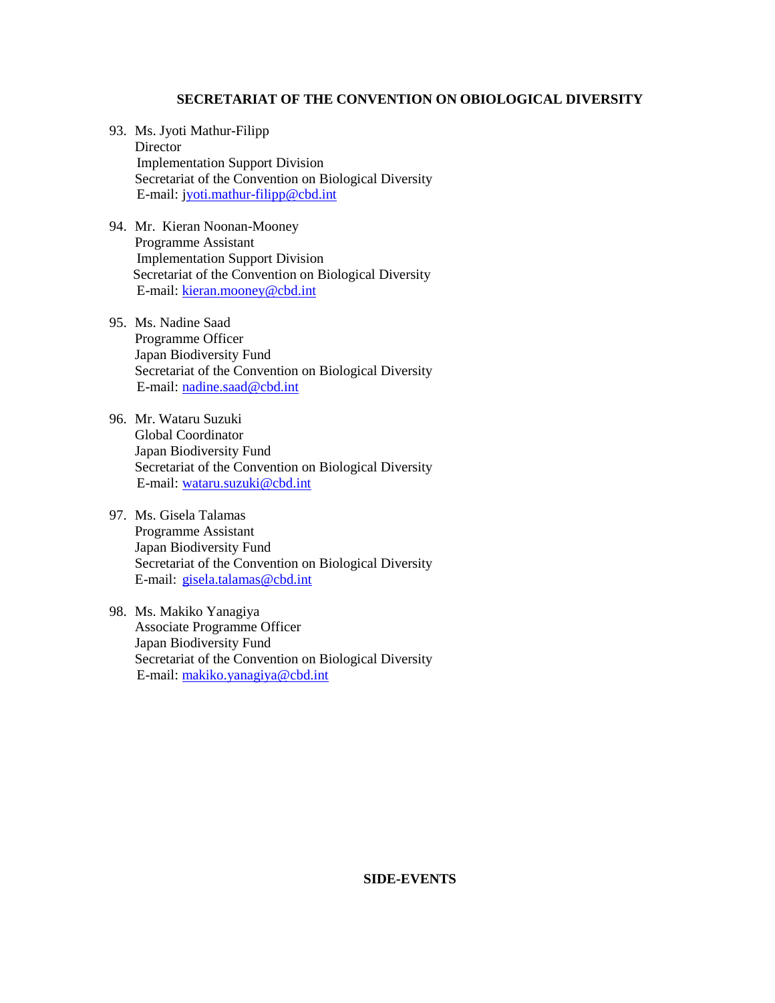### **SECRETARIAT OF THE CONVENTION ON OBIOLOGICAL DIVERSITY**

- 93. Ms. Jyoti Mathur-Filipp **Director** Implementation Support Division Secretariat of the Convention on Biological Diversity E-mail: jyoti.mathur-filipp@cbd.int
- 94. Mr. Kieran Noonan-Mooney Programme Assistant Implementation Support Division Secretariat of the Convention on Biological Diversity E-mail: kieran.mooney@cbd.int
- 95. Ms. Nadine Saad Programme Officer Japan Biodiversity Fund Secretariat of the Convention on Biological Diversity E-mail: [nadine.saad@cbd.int](mailto:nadine.saad@cbd.int)
- 96. Mr. Wataru Suzuki Global Coordinator Japan Biodiversity Fund Secretariat of the Convention on Biological Diversity E-mail: [wataru.suzuki@cbd.int](mailto:wataru.suzuki@cbd.int)
- 97. Ms. Gisela Talamas Programme Assistant Japan Biodiversity Fund Secretariat of the Convention on Biological Diversity E-mail: [gisela.talamas@cbd.int](mailto:gisela.talamas@cbd.int)
- 98. Ms. Makiko Yanagiya Associate Programme Officer Japan Biodiversity Fund Secretariat of the Convention on Biological Diversity E-mail[: makiko.yanagiya@cbd.int](mailto:makiko.yanagiya@cbd.int)

# **SIDE-EVENTS**